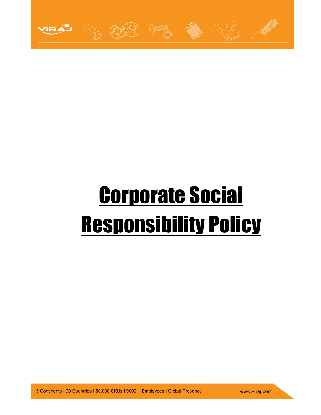

# Corporate Social Responsibility Policy

6 Continents | 90 Countries | 50,000 SKUs | 9000 + Employees | Global Presence

www.viraj.com

1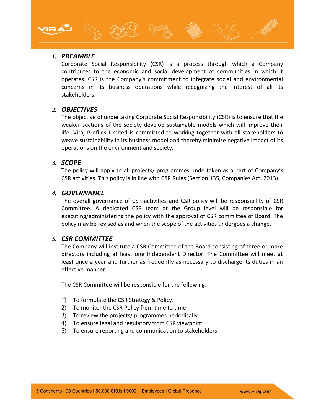### *1. PREAMBLE*

Corporate Social Responsibility (CSR) is a process through which a Company contributes to the economic and social development of communities in which it operates. CSR is the Company's commitment to integrate social and environmental concerns in its business operations while recognizing the interest of all its stakeholders.

#### *2. OBJECTIVES*

The objective of undertaking Corporate Social Responsibility (CSR) is to ensure that the weaker sections of the society develop sustainable models which will improve their life. Viraj Profiles Limited is committed to working together with all stakeholders to weave sustainability in its business model and thereby minimize negative impact of its operations on the environment and society.

#### *3. SCOPE*

The policy will apply to all projects/ programmes undertaken as a part of Company's CSR activities. This policy is in line with CSR Rules (Section 135, Companies Act, 2013).

#### *4. GOVERNANCE*

The overall governance of CSR activities and CSR policy will be responsibility of CSR Committee. A dedicated CSR team at the Group level will be responsible for executing/administering the policy with the approval of CSR committee of Board. The policy may be revised as and when the scope of the activities undergoes a change.

#### *5. CSR COMMITTEE*

The Company will institute a CSR Committee of the Board consisting of three or more directors including at least one Independent Director. The Committee will meet at least once a year and further as frequently as necessary to discharge its duties in an effective manner.

The CSR Committee will be responsible for the following:

- 1) To formulate the CSR Strategy & Policy.
- 2) To monitor the CSR Policy from time to time
- 3) To review the projects/ programmes periodically
- 4) To ensure legal and regulatory from CSR viewpoint
- 5) To ensure reporting and communication to stakeholders.

2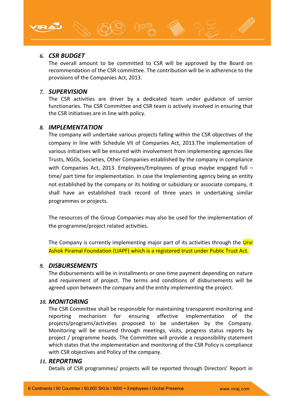## *6. CSR BUDGET*

The overall amount to be committed to CSR will be approved by the Board on recommendation of the CSR committee. The contribution will be in adherence to the provisions of the Companies Act, 2013.

#### *7. SUPERVISION*

The CSR activities are driver by a dedicated team under guidance of senior functionaries. The CSR Committee and CSR team is actively involved in ensuring that the CSR initiatives are in line with policy.

#### *8. IMPLEMENTATION*

The company will undertake various projects falling within the CSR objectives of the company in line with Schedule VII of Companies Act, 2013.The implementation of various initiatives will be ensured with involvement from implementing agencies like Trusts, NGOs, Societies, Other Companies established by the company in compliance with Companies Act, 2013. Employees/Employees of group maybe engaged full time/ part time for implementation. In case the Implementing agency being an entity not established by the company or its holding or subsidiary or associate company, it shall have an established track record of three years in undertaking similar programmes or projects.

The resources of the Group Companies may also be used for the implementation of the programme/project related activities.

The Company is currently implementing major part of its activities through the Urvi Ashok Piramal Foundation (UAPF) which is a registered trust under Public Trust Act.

#### *9. DISBURSEMENTS*

The disbursements will be in installments or one-time payment depending on nature and requirement of project. The terms and conditions of disbursements will be agreed upon between the company and the entity implementing the project.

#### *10. MONITORING*

The CSR Committee shall be responsible for maintaining transparent monitoring and reporting mechanism for ensuring effective implementation of the projects/programs/activities proposed to be undertaken by the Company. Monitoring will be ensured through meetings, visits, progress status reports by project / programme heads. The Committee will provide a responsibility statement which states that the implementation and monitoring of the CSR Policy is compliance with CSR objectives and Policy of the company.

#### *11. REPORTING*

Details of CSR programmes/ projects will be reported through Directors' Report in